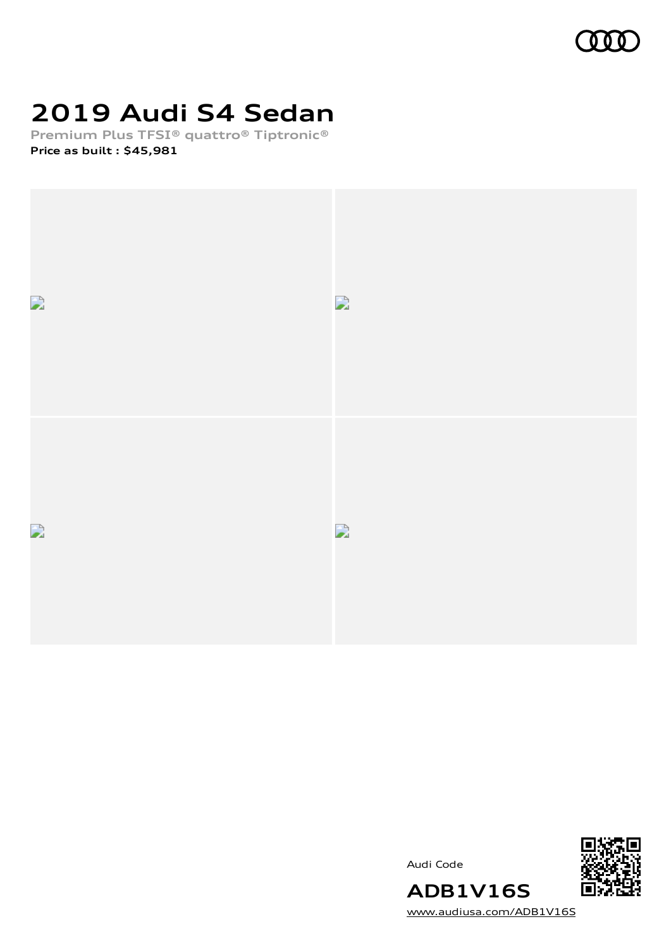

# **2019 Audi S4 Sedan**

**Premium Plus TFSI® quattro® Tiptronic® Price as built [:](#page-8-0) \$45,981**



Audi Code



[www.audiusa.com/ADB1V16S](https://www.audiusa.com/ADB1V16S)

**ADB1V16S**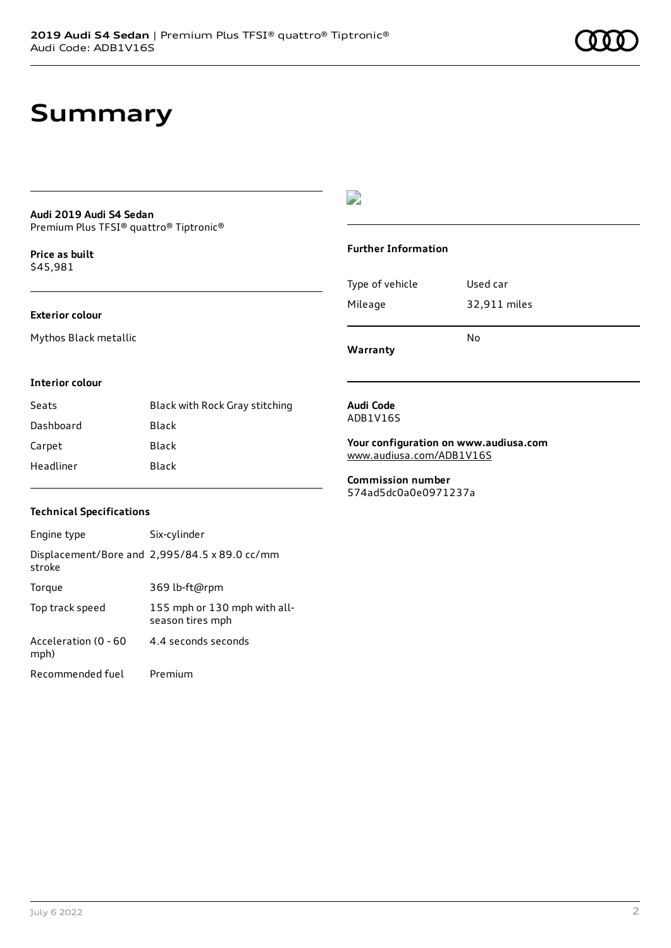### **Summary**

### **Audi 2019 Audi S4 Sedan**

Premium Plus TFSI® quattro® Tiptronic®

**Price as buil[t](#page-8-0)** \$45,981

#### **Exterior colour**

Mythos Black metallic

#### $\overline{\phantom{a}}$

#### **Further Information**

|                 | N٥           |
|-----------------|--------------|
| Mileage         | 32,911 miles |
| Type of vehicle | Used car     |

**Warranty**

#### **Interior colour**

| Seats     | Black with Rock Gray stitching |
|-----------|--------------------------------|
| Dashboard | Black                          |
| Carpet    | Black                          |
| Headliner | Black                          |

#### **Audi Code** ADB1V16S

**Your configuration on www.audiusa.com**

[www.audiusa.com/ADB1V16S](https://www.audiusa.com/ADB1V16S)

**Commission number** 574ad5dc0a0e0971237a

#### **Technical Specifications**

| Engine type                  | Six-cylinder                                     |
|------------------------------|--------------------------------------------------|
| stroke                       | Displacement/Bore and 2,995/84.5 x 89.0 cc/mm    |
| Torque                       | 369 lb-ft@rpm                                    |
| Top track speed              | 155 mph or 130 mph with all-<br>season tires mph |
| Acceleration (0 - 60<br>mph) | 4 4 seconds seconds                              |
| Recommended fuel             | Premium                                          |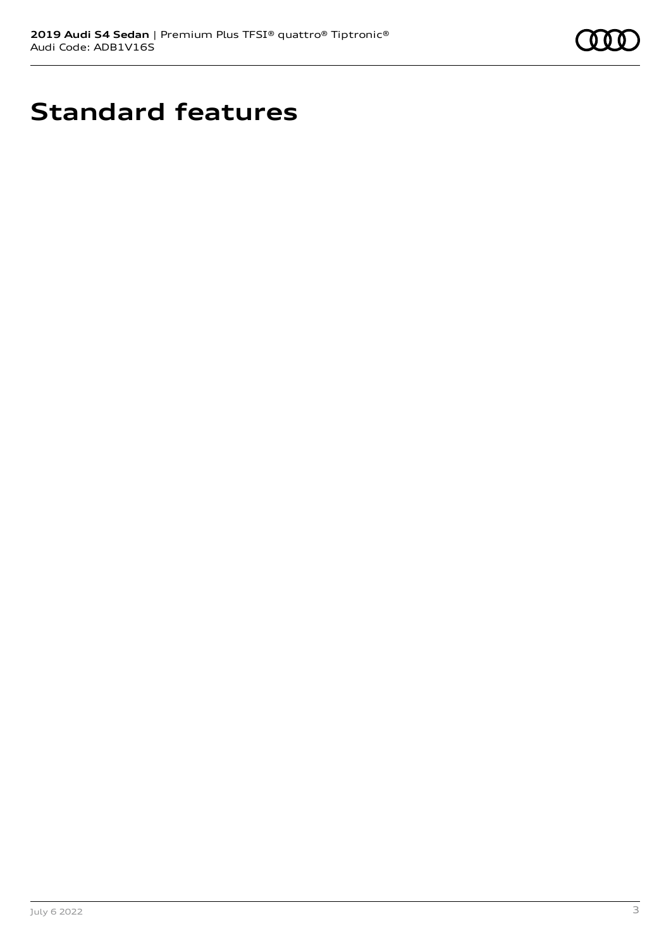

# **Standard features**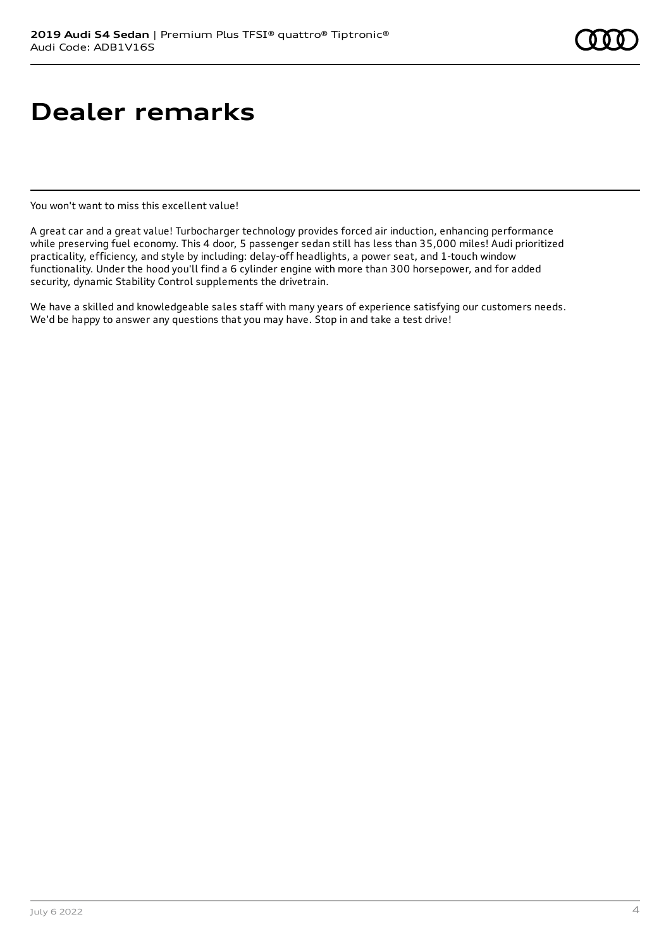### **Dealer remarks**

You won't want to miss this excellent value!

A great car and a great value! Turbocharger technology provides forced air induction, enhancing performance while preserving fuel economy. This 4 door, 5 passenger sedan still has less than 35,000 miles! Audi prioritized practicality, efficiency, and style by including: delay-off headlights, a power seat, and 1-touch window functionality. Under the hood you'll find a 6 cylinder engine with more than 300 horsepower, and for added security, dynamic Stability Control supplements the drivetrain.

We have a skilled and knowledgeable sales staff with many years of experience satisfying our customers needs. We'd be happy to answer any questions that you may have. Stop in and take a test drive!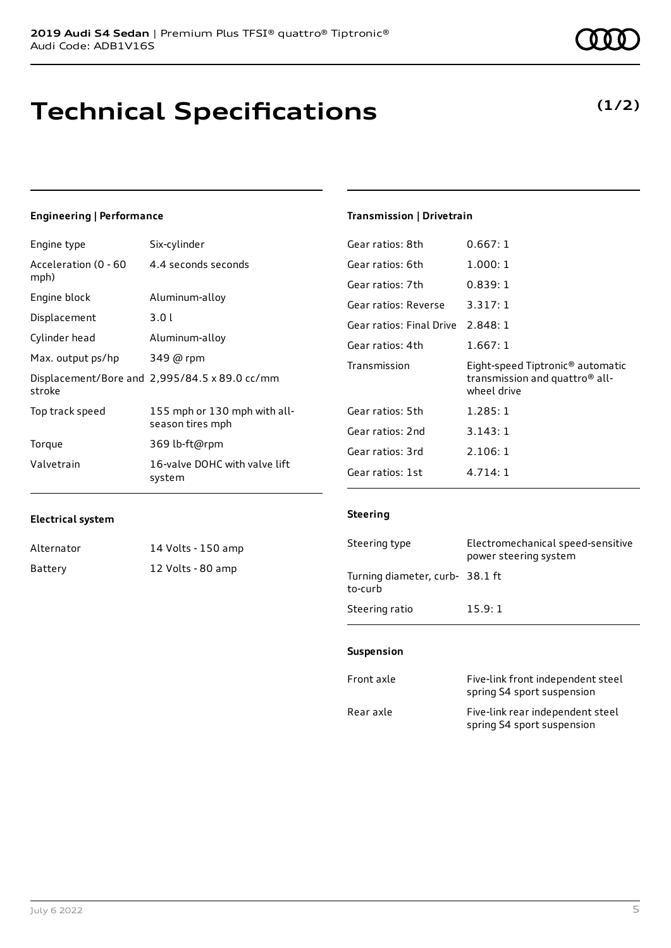### **Technical Specifications**

### Engine type Six-cylinder

**Engineering | Performance**

| Acceleration (0 - 60<br>mph) | 4.4 seconds seconds                              |
|------------------------------|--------------------------------------------------|
| Engine block                 | Aluminum-alloy                                   |
| Displacement                 | 3.01                                             |
| Cylinder head                | Aluminum-alloy                                   |
| Max. output ps/hp            | 349 @ rpm                                        |
| stroke                       | Displacement/Bore and 2,995/84.5 x 89.0 cc/mm    |
| Top track speed              | 155 mph or 130 mph with all-<br>season tires mph |
| Torque                       | 369 lb-ft@rpm                                    |
| Valvetrain                   | 16-valve DOHC with valve lift<br>system          |

#### **Transmission | Drivetrain**

| Gear ratios: 8th                  | 0.667:1                                                                                                   |
|-----------------------------------|-----------------------------------------------------------------------------------------------------------|
| Gear ratios: 6th                  | 1.000:1                                                                                                   |
| Gear ratios: 7th                  | 0.839:1                                                                                                   |
| Gear ratios: Reverse              | 3.317:1                                                                                                   |
| Gear ratios: Final Drive 2.848: 1 |                                                                                                           |
| Gear ratios: 4th                  | 1.667:1                                                                                                   |
|                                   |                                                                                                           |
| Transmission                      | Eight-speed Tiptronic <sup>®</sup> automatic<br>transmission and quattro <sup>®</sup> all-<br>wheel drive |
| Gear ratios: 5th                  | 1.285:1                                                                                                   |
| Gear ratios: 2nd                  | 3.143:1                                                                                                   |
| Gear ratios: 3rd                  | 2.106:1                                                                                                   |

#### **Electrical system**

| Alternator | 14 Volts - 150 amp |
|------------|--------------------|
| Battery    | 12 Volts - 80 amp  |

#### **Steering**

| Steering type                             | Electromechanical speed-sensitive<br>power steering system |
|-------------------------------------------|------------------------------------------------------------|
| Turning diameter, curb-38.1 ft<br>to-curb |                                                            |
| Steering ratio                            | 15.9:1                                                     |

#### **Suspension**

| Front axle | Five-link front independent steel<br>spring S4 sport suspension |
|------------|-----------------------------------------------------------------|
| Rear axle  | Five-link rear independent steel<br>spring S4 sport suspension  |

**(1/2)**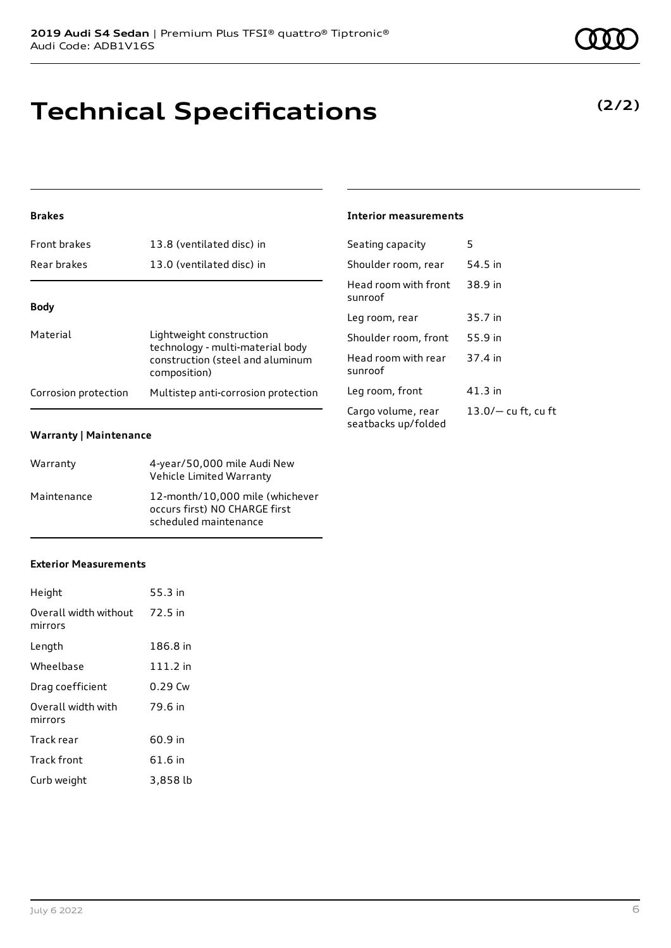#### **Brakes**

| <b>Front brakes</b>  | 13.8 (ventilated disc) in                                                                                        |
|----------------------|------------------------------------------------------------------------------------------------------------------|
| Rear brakes          | 13.0 (ventilated disc) in                                                                                        |
|                      |                                                                                                                  |
| <b>Body</b>          |                                                                                                                  |
| Material             | Lightweight construction<br>technology - multi-material body<br>construction (steel and aluminum<br>composition) |
| Corrosion protection | Multistep anti-corrosion protection                                                                              |
|                      |                                                                                                                  |

#### **Warranty | Maintenance**

| Warranty    | 4-year/50,000 mile Audi New<br>Vehicle Limited Warranty                                   |
|-------------|-------------------------------------------------------------------------------------------|
| Maintenance | 12-month/10,000 mile (whichever<br>occurs first) NO CHARGE first<br>scheduled maintenance |

#### **Exterior Measurements**

| Height                           | 55.3 in   |
|----------------------------------|-----------|
| Overall width without<br>mirrors | 72.5 in   |
| Length                           | 186.8 in  |
| Wheelbase                        | 111.2 in  |
| Drag coefficient                 | $0.29$ Cw |
| Overall width with<br>mirrors    | 79.6 in   |
| Track rear                       | 60.9 in   |
| Track front                      | 61.6 in   |
| Curb weight                      | 3,858 lb  |

**Technical Specifications**

#### **Interior measurements**

| 5                     |
|-----------------------|
| 54.5 in               |
| 38.9 in               |
| 35.7 in               |
| 55.9 in               |
| 37.4 in               |
| 41.3 in               |
| $13.0/-$ cu ft, cu ft |
|                       |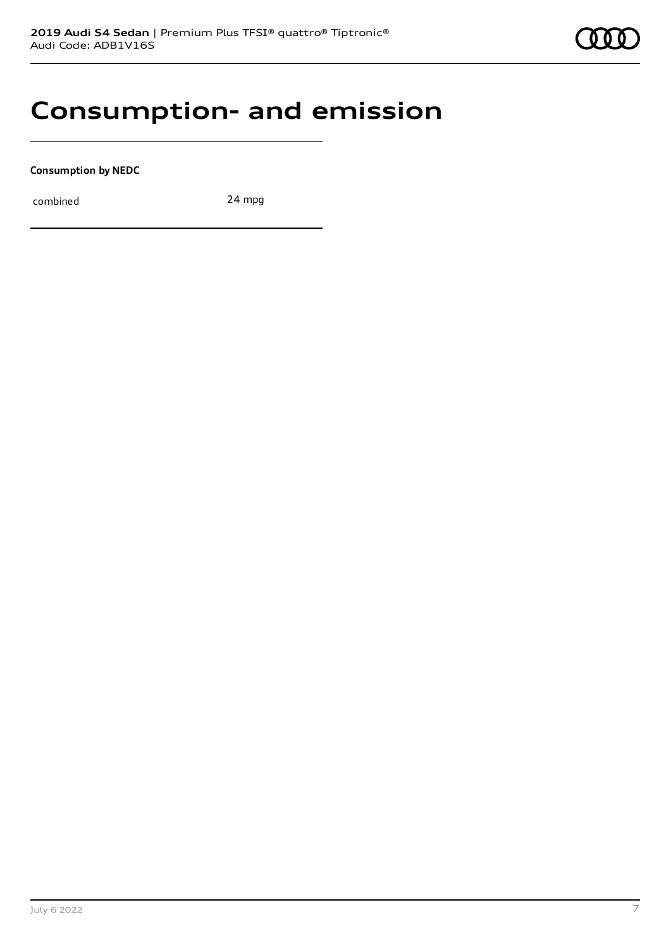### **Consumption- and emission**

**Consumption by NEDC**

combined 24 mpg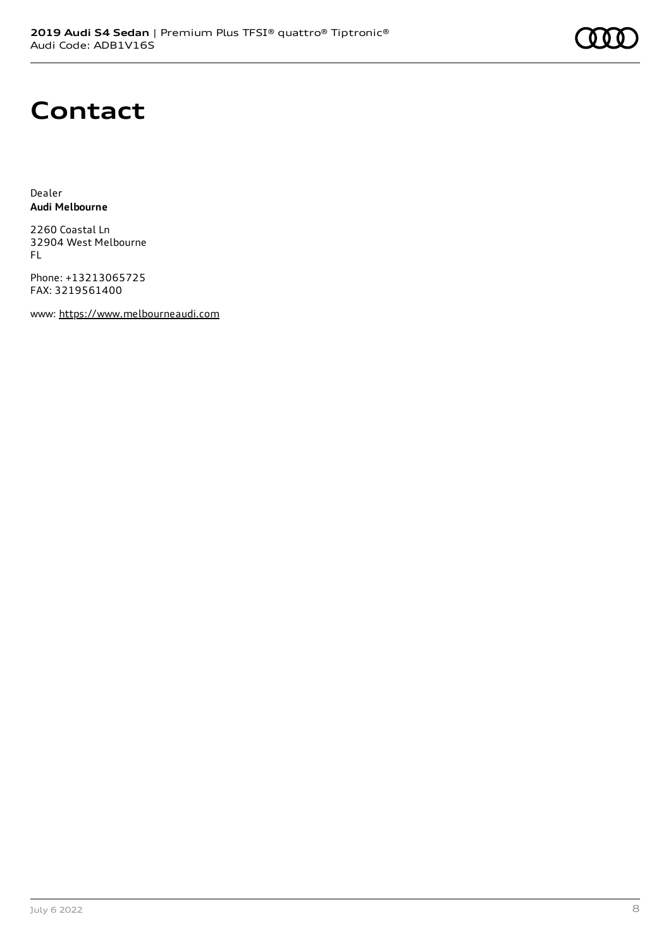# **Contact**

Dealer **Audi Melbourne**

2260 Coastal Ln 32904 West Melbourne FL

Phone: +13213065725 FAX: 3219561400

www: [https://www.melbourneaudi.com](https://www.melbourneaudi.com/)